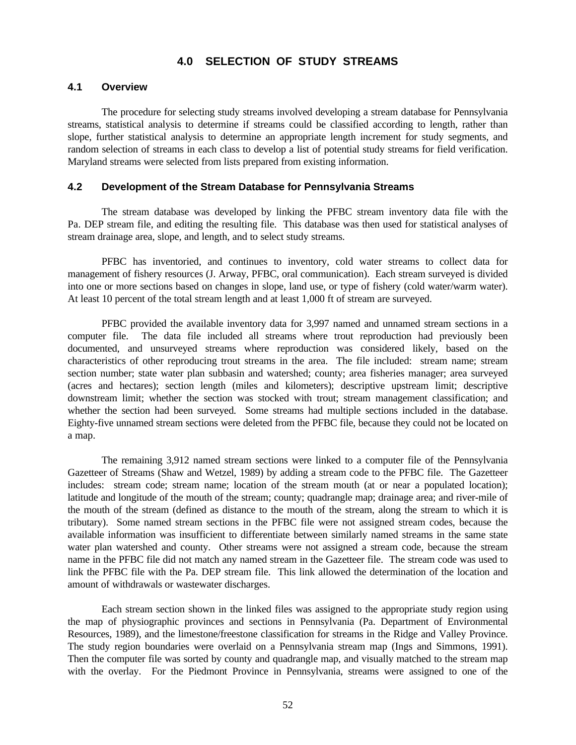## **4.0 SELECTION OF STUDY STREAMS**

#### **4.1 Overview**

The procedure for selecting study streams involved developing a stream database for Pennsylvania streams, statistical analysis to determine if streams could be classified according to length, rather than slope, further statistical analysis to determine an appropriate length increment for study segments, and random selection of streams in each class to develop a list of potential study streams for field verification. Maryland streams were selected from lists prepared from existing information.

#### **4.2 Development of the Stream Database for Pennsylvania Streams**

The stream database was developed by linking the PFBC stream inventory data file with the Pa. DEP stream file, and editing the resulting file. This database was then used for statistical analyses of stream drainage area, slope, and length, and to select study streams.

PFBC has inventoried, and continues to inventory, cold water streams to collect data for management of fishery resources (J. Arway, PFBC, oral communication). Each stream surveyed is divided into one or more sections based on changes in slope, land use, or type of fishery (cold water/warm water). At least 10 percent of the total stream length and at least 1,000 ft of stream are surveyed.

PFBC provided the available inventory data for 3,997 named and unnamed stream sections in a computer file. The data file included all streams where trout reproduction had previously been documented, and unsurveyed streams where reproduction was considered likely, based on the characteristics of other reproducing trout streams in the area. The file included: stream name; stream section number; state water plan subbasin and watershed; county; area fisheries manager; area surveyed (acres and hectares); section length (miles and kilometers); descriptive upstream limit; descriptive downstream limit; whether the section was stocked with trout; stream management classification; and whether the section had been surveyed. Some streams had multiple sections included in the database. Eighty-five unnamed stream sections were deleted from the PFBC file, because they could not be located on a map.

The remaining 3,912 named stream sections were linked to a computer file of the Pennsylvania Gazetteer of Streams (Shaw and Wetzel, 1989) by adding a stream code to the PFBC file. The Gazetteer includes: stream code; stream name; location of the stream mouth (at or near a populated location); latitude and longitude of the mouth of the stream; county; quadrangle map; drainage area; and river-mile of the mouth of the stream (defined as distance to the mouth of the stream, along the stream to which it is tributary). Some named stream sections in the PFBC file were not assigned stream codes, because the available information was insufficient to differentiate between similarly named streams in the same state water plan watershed and county. Other streams were not assigned a stream code, because the stream name in the PFBC file did not match any named stream in the Gazetteer file. The stream code was used to link the PFBC file with the Pa. DEP stream file. This link allowed the determination of the location and amount of withdrawals or wastewater discharges.

Each stream section shown in the linked files was assigned to the appropriate study region using the map of physiographic provinces and sections in Pennsylvania (Pa. Department of Environmental Resources, 1989), and the limestone/freestone classification for streams in the Ridge and Valley Province. The study region boundaries were overlaid on a Pennsylvania stream map (Ings and Simmons, 1991). Then the computer file was sorted by county and quadrangle map, and visually matched to the stream map with the overlay. For the Piedmont Province in Pennsylvania, streams were assigned to one of the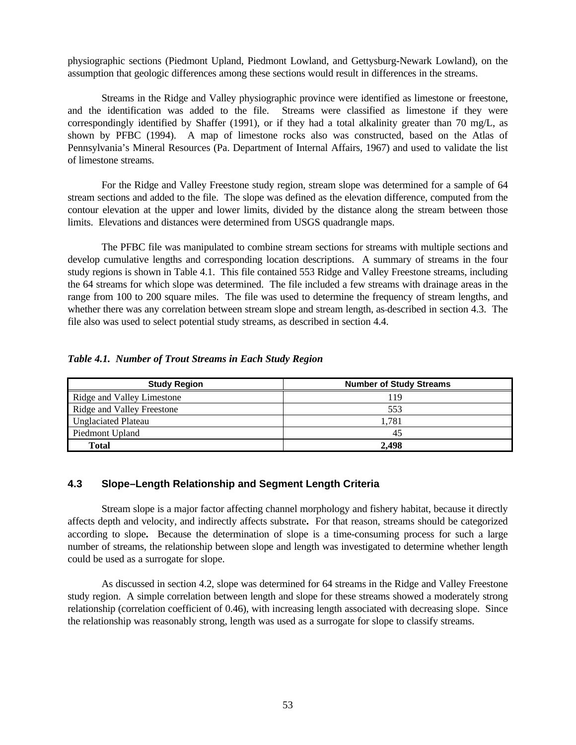physiographic sections (Piedmont Upland, Piedmont Lowland, and Gettysburg-Newark Lowland), on the assumption that geologic differences among these sections would result in differences in the streams.

Streams in the Ridge and Valley physiographic province were identified as limestone or freestone, and the identification was added to the file. Streams were classified as limestone if they were correspondingly identified by Shaffer (1991), or if they had a total alkalinity greater than 70 mg/L, as shown by PFBC (1994). A map of limestone rocks also was constructed, based on the Atlas of Pennsylvania's Mineral Resources (Pa. Department of Internal Affairs, 1967) and used to validate the list of limestone streams.

For the Ridge and Valley Freestone study region, stream slope was determined for a sample of 64 stream sections and added to the file. The slope was defined as the elevation difference, computed from the contour elevation at the upper and lower limits, divided by the distance along the stream between those limits. Elevations and distances were determined from USGS quadrangle maps.

The PFBC file was manipulated to combine stream sections for streams with multiple sections and develop cumulative lengths and corresponding location descriptions. A summary of streams in the four study regions is shown in Table 4.1. This file contained 553 Ridge and Valley Freestone streams, including the 64 streams for which slope was determined. The file included a few streams with drainage areas in the range from 100 to 200 square miles. The file was used to determine the frequency of stream lengths, and whether there was any correlation between stream slope and stream length, as-described in section 4.3. The file also was used to select potential study streams, as described in section 4.4.

### *Table 4.1. Number of Trout Streams in Each Study Region*

| <b>Study Region</b>        | <b>Number of Study Streams</b> |
|----------------------------|--------------------------------|
| Ridge and Valley Limestone | 119                            |
| Ridge and Valley Freestone | 553                            |
| <b>Unglaciated Plateau</b> | 1.781                          |
| Piedmont Upland            | 45                             |
| <b>Total</b>               | 2.498                          |

## **4.3 Slope–Length Relationship and Segment Length Criteria**

Stream slope is a major factor affecting channel morphology and fishery habitat, because it directly affects depth and velocity, and indirectly affects substrate**.** For that reason, streams should be categorized according to slope**.** Because the determination of slope is a time-consuming process for such a large number of streams, the relationship between slope and length was investigated to determine whether length could be used as a surrogate for slope.

As discussed in section 4.2, slope was determined for 64 streams in the Ridge and Valley Freestone study region. A simple correlation between length and slope for these streams showed a moderately strong relationship (correlation coefficient of 0.46), with increasing length associated with decreasing slope. Since the relationship was reasonably strong, length was used as a surrogate for slope to classify streams.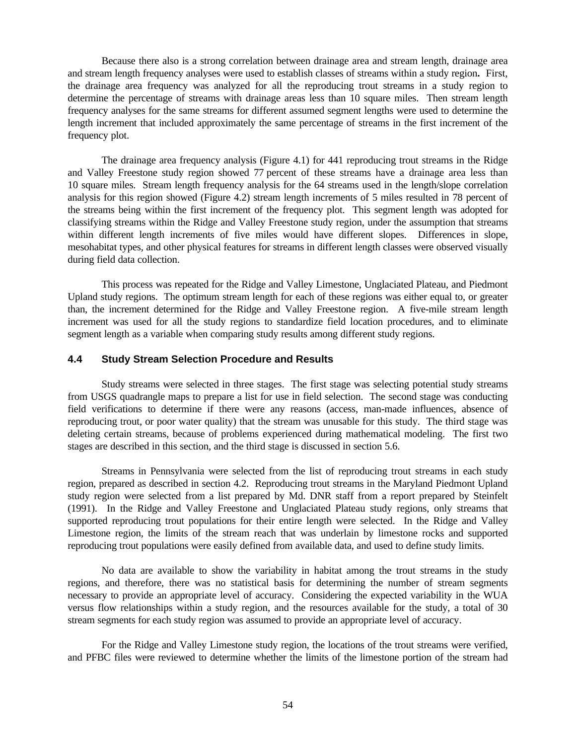Because there also is a strong correlation between drainage area and stream length, drainage area and stream length frequency analyses were used to establish classes of streams within a study region**.** First, the drainage area frequency was analyzed for all the reproducing trout streams in a study region to determine the percentage of streams with drainage areas less than 10 square miles. Then stream length frequency analyses for the same streams for different assumed segment lengths were used to determine the length increment that included approximately the same percentage of streams in the first increment of the frequency plot.

The drainage area frequency analysis (Figure 4.1) for 441 reproducing trout streams in the Ridge and Valley Freestone study region showed 77 percent of these streams have a drainage area less than 10 square miles. Stream length frequency analysis for the 64 streams used in the length/slope correlation analysis for this region showed (Figure 4.2) stream length increments of 5 miles resulted in 78 percent of the streams being within the first increment of the frequency plot. This segment length was adopted for classifying streams within the Ridge and Valley Freestone study region, under the assumption that streams within different length increments of five miles would have different slopes. Differences in slope, mesohabitat types, and other physical features for streams in different length classes were observed visually during field data collection.

This process was repeated for the Ridge and Valley Limestone, Unglaciated Plateau, and Piedmont Upland study regions. The optimum stream length for each of these regions was either equal to, or greater than, the increment determined for the Ridge and Valley Freestone region. A five-mile stream length increment was used for all the study regions to standardize field location procedures, and to eliminate segment length as a variable when comparing study results among different study regions.

### **4.4 Study Stream Selection Procedure and Results**

Study streams were selected in three stages. The first stage was selecting potential study streams from USGS quadrangle maps to prepare a list for use in field selection. The second stage was conducting field verifications to determine if there were any reasons (access, man-made influences, absence of reproducing trout, or poor water quality) that the stream was unusable for this study. The third stage was deleting certain streams, because of problems experienced during mathematical modeling. The first two stages are described in this section, and the third stage is discussed in section 5.6.

Streams in Pennsylvania were selected from the list of reproducing trout streams in each study region, prepared as described in section 4.2. Reproducing trout streams in the Maryland Piedmont Upland study region were selected from a list prepared by Md. DNR staff from a report prepared by Steinfelt (1991). In the Ridge and Valley Freestone and Unglaciated Plateau study regions, only streams that supported reproducing trout populations for their entire length were selected. In the Ridge and Valley Limestone region, the limits of the stream reach that was underlain by limestone rocks and supported reproducing trout populations were easily defined from available data, and used to define study limits.

No data are available to show the variability in habitat among the trout streams in the study regions, and therefore, there was no statistical basis for determining the number of stream segments necessary to provide an appropriate level of accuracy. Considering the expected variability in the WUA versus flow relationships within a study region, and the resources available for the study, a total of 30 stream segments for each study region was assumed to provide an appropriate level of accuracy.

For the Ridge and Valley Limestone study region, the locations of the trout streams were verified, and PFBC files were reviewed to determine whether the limits of the limestone portion of the stream had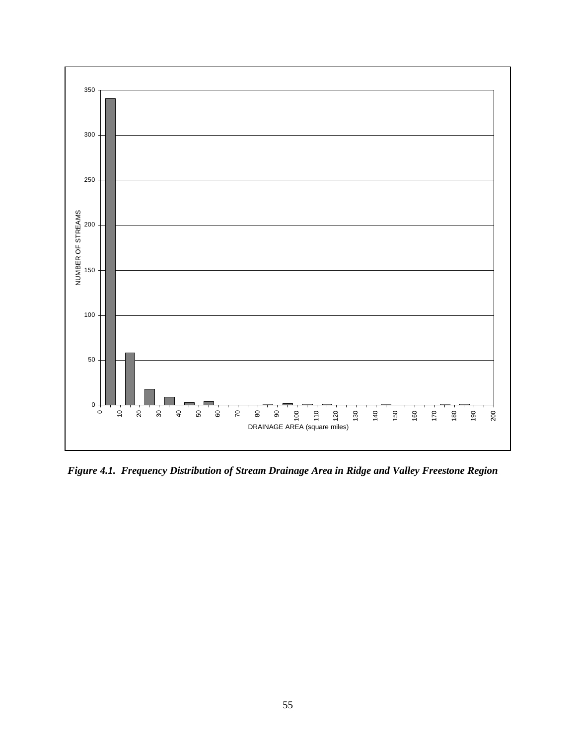

*Figure 4.1. Frequency Distribution of Stream Drainage Area in Ridge and Valley Freestone Region*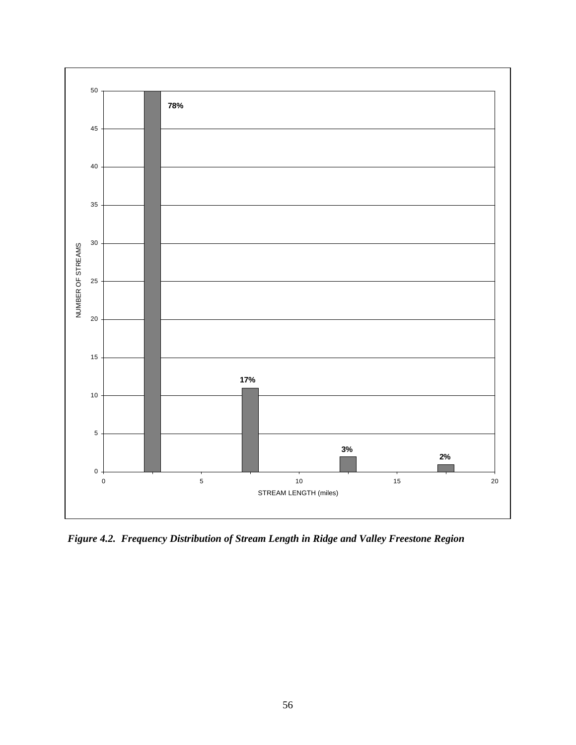

*Figure 4.2. Frequency Distribution of Stream Length in Ridge and Valley Freestone Region*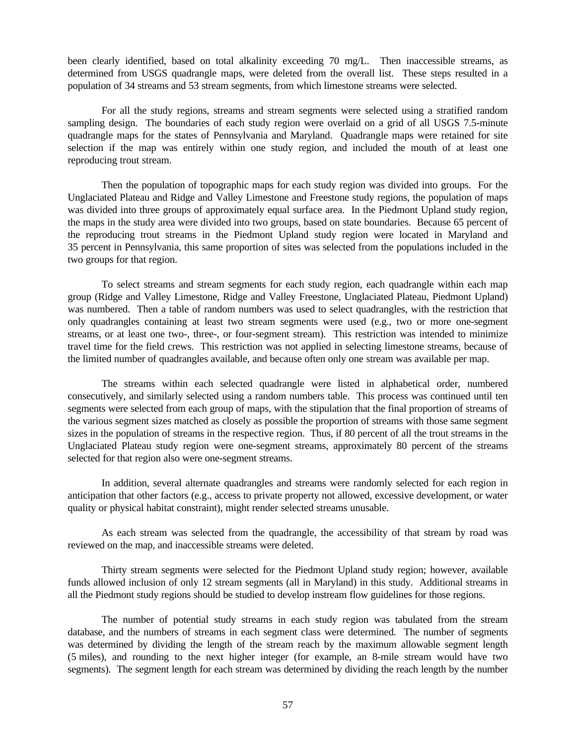been clearly identified, based on total alkalinity exceeding 70 mg/L. Then inaccessible streams, as determined from USGS quadrangle maps, were deleted from the overall list. These steps resulted in a population of 34 streams and 53 stream segments, from which limestone streams were selected.

For all the study regions, streams and stream segments were selected using a stratified random sampling design. The boundaries of each study region were overlaid on a grid of all USGS 7.5-minute quadrangle maps for the states of Pennsylvania and Maryland. Quadrangle maps were retained for site selection if the map was entirely within one study region, and included the mouth of at least one reproducing trout stream.

Then the population of topographic maps for each study region was divided into groups. For the Unglaciated Plateau and Ridge and Valley Limestone and Freestone study regions, the population of maps was divided into three groups of approximately equal surface area. In the Piedmont Upland study region, the maps in the study area were divided into two groups, based on state boundaries. Because 65 percent of the reproducing trout streams in the Piedmont Upland study region were located in Maryland and 35 percent in Pennsylvania, this same proportion of sites was selected from the populations included in the two groups for that region.

To select streams and stream segments for each study region, each quadrangle within each map group (Ridge and Valley Limestone, Ridge and Valley Freestone, Unglaciated Plateau, Piedmont Upland) was numbered. Then a table of random numbers was used to select quadrangles, with the restriction that only quadrangles containing at least two stream segments were used (e.g., two or more one-segment streams, or at least one two-, three-, or four-segment stream). This restriction was intended to minimize travel time for the field crews. This restriction was not applied in selecting limestone streams, because of the limited number of quadrangles available, and because often only one stream was available per map.

The streams within each selected quadrangle were listed in alphabetical order, numbered consecutively, and similarly selected using a random numbers table. This process was continued until ten segments were selected from each group of maps, with the stipulation that the final proportion of streams of the various segment sizes matched as closely as possible the proportion of streams with those same segment sizes in the population of streams in the respective region. Thus, if 80 percent of all the trout streams in the Unglaciated Plateau study region were one-segment streams, approximately 80 percent of the streams selected for that region also were one-segment streams.

In addition, several alternate quadrangles and streams were randomly selected for each region in anticipation that other factors (e.g., access to private property not allowed, excessive development, or water quality or physical habitat constraint), might render selected streams unusable.

As each stream was selected from the quadrangle, the accessibility of that stream by road was reviewed on the map, and inaccessible streams were deleted.

Thirty stream segments were selected for the Piedmont Upland study region; however, available funds allowed inclusion of only 12 stream segments (all in Maryland) in this study. Additional streams in all the Piedmont study regions should be studied to develop instream flow guidelines for those regions.

The number of potential study streams in each study region was tabulated from the stream database, and the numbers of streams in each segment class were determined. The number of segments was determined by dividing the length of the stream reach by the maximum allowable segment length (5 miles), and rounding to the next higher integer (for example, an 8-mile stream would have two segments). The segment length for each stream was determined by dividing the reach length by the number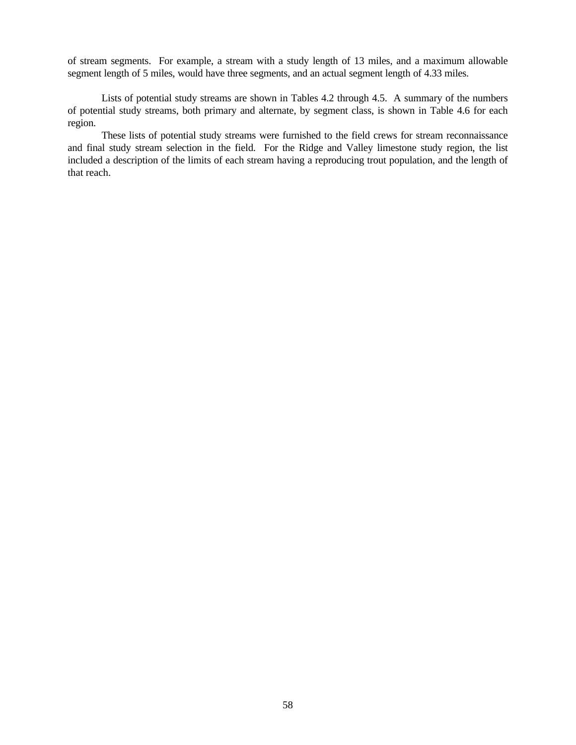of stream segments. For example, a stream with a study length of 13 miles, and a maximum allowable segment length of 5 miles, would have three segments, and an actual segment length of 4.33 miles.

Lists of potential study streams are shown in Tables 4.2 through 4.5. A summary of the numbers of potential study streams, both primary and alternate, by segment class, is shown in Table 4.6 for each region.

These lists of potential study streams were furnished to the field crews for stream reconnaissance and final study stream selection in the field. For the Ridge and Valley limestone study region, the list included a description of the limits of each stream having a reproducing trout population, and the length of that reach.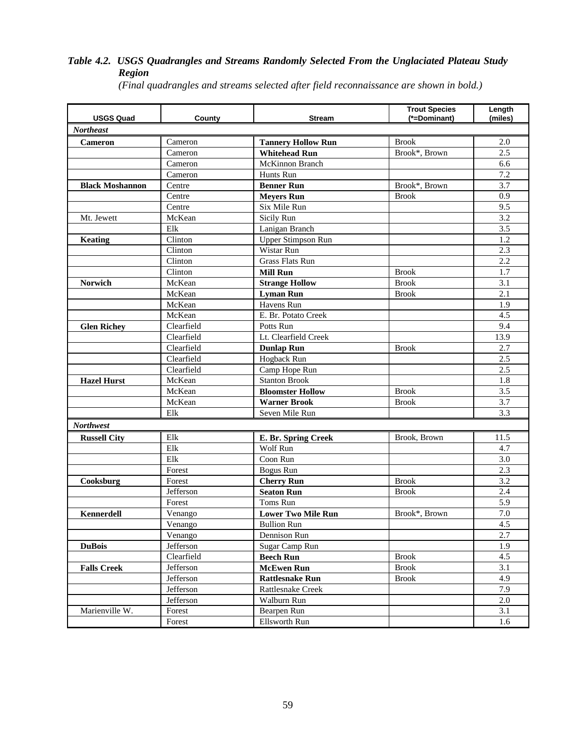## *Table 4.2. USGS Quadrangles and Streams Randomly Selected From the Unglaciated Plateau Study Region*

| <b>USGS Quad</b>       | County                      | <b>Stream</b>             | <b>Trout Species</b><br>(*=Dominant) | Length<br>(miles) |
|------------------------|-----------------------------|---------------------------|--------------------------------------|-------------------|
| <b>Northeast</b>       |                             |                           |                                      |                   |
| Cameron                | Cameron                     | <b>Tannery Hollow Run</b> | <b>Brook</b>                         | 2.0               |
|                        | Cameron                     | <b>Whitehead Run</b>      | Brook*, Brown                        | 2.5               |
|                        | Cameron                     | McKinnon Branch           |                                      | 6.6               |
|                        | Cameron                     | Hunts Run                 |                                      | 7.2               |
| <b>Black Moshannon</b> | Centre                      | <b>Benner Run</b>         | Brook*, Brown                        | 3.7               |
|                        | Centre                      | <b>Meyers Run</b>         | <b>Brook</b>                         | 0.9               |
|                        | Centre                      | Six Mile Run              |                                      | 9.5               |
| Mt. Jewett             | McKean                      | Sicily Run                |                                      | 3.2               |
|                        | Elk                         | Lanigan Branch            |                                      | 3.5               |
| Keating                | Clinton                     | <b>Upper Stimpson Run</b> |                                      | 1.2               |
|                        | Clinton                     | Wistar Run                |                                      | 2.3               |
|                        | Clinton                     | <b>Grass Flats Run</b>    |                                      | 2.2               |
|                        | Clinton                     | <b>Mill Run</b>           | <b>Brook</b>                         | 1.7               |
| <b>Norwich</b>         | McKean                      | <b>Strange Hollow</b>     | <b>Brook</b>                         | 3.1               |
|                        | McKean                      | <b>Lyman Run</b>          | <b>Brook</b>                         | 2.1               |
|                        | McKean                      | Havens Run                |                                      | 1.9               |
|                        | McKean                      | E. Br. Potato Creek       |                                      | 4.5               |
| <b>Glen Richey</b>     | Clearfield                  | Potts Run                 |                                      | 9.4               |
|                        | Clearfield                  | Lt. Clearfield Creek      |                                      | 13.9              |
|                        | Clearfield                  | <b>Dunlap Run</b>         | <b>Brook</b>                         | 2.7               |
|                        | Clearfield                  | Hogback Run               |                                      | 2.5               |
|                        | $\overline{\text{Clearly}}$ | Camp Hope Run             |                                      | 2.5               |
| <b>Hazel Hurst</b>     | McKean                      | <b>Stanton Brook</b>      |                                      | 1.8               |
|                        | McKean                      | <b>Bloomster Hollow</b>   | <b>Brook</b>                         | 3.5               |
|                        | McKean                      | <b>Warner Brook</b>       | <b>Brook</b>                         | 3.7               |
|                        | Elk                         | Seven Mile Run            |                                      | 3.3               |
| <b>Northwest</b>       |                             |                           |                                      |                   |
| <b>Russell City</b>    | Elk                         | E. Br. Spring Creek       | Brook, Brown                         | 11.5              |
|                        | Elk                         | Wolf Run                  |                                      | 4.7               |
|                        | Elk                         | Coon Run                  |                                      | 3.0               |
|                        | Forest                      | <b>Bogus Run</b>          |                                      | 2.3               |
| Cooksburg              | Forest                      | <b>Cherry Run</b>         | <b>Brook</b>                         | 3.2               |
|                        | Jefferson                   | <b>Seaton Run</b>         | <b>Brook</b>                         | 2.4               |
|                        | Forest                      | Toms Run                  |                                      | 5.9               |
| Kennerdell             | Venango                     | <b>Lower Two Mile Run</b> | Brook*, Brown                        | $7.0\,$           |
|                        | Venango                     | <b>Bullion</b> Run        |                                      | 4.5               |
|                        | Venango                     | Dennison Run              |                                      | 2.7               |
| <b>DuBois</b>          | Jefferson                   | Sugar Camp Run            |                                      | 1.9               |
|                        | Clearfield                  | <b>Beech Run</b>          | <b>Brook</b>                         | 4.5               |
| <b>Falls Creek</b>     | Jefferson                   | <b>McEwen Run</b>         | <b>Brook</b>                         | 3.1               |
|                        | Jefferson                   | <b>Rattlesnake Run</b>    | <b>Brook</b>                         | 4.9               |
|                        | Jefferson                   | Rattlesnake Creek         |                                      | 7.9               |
|                        | Jefferson                   | Walburn Run               |                                      | 2.0               |
| Marienville W.         | Forest                      | Bearpen Run               |                                      | 3.1               |
|                        | Forest                      | Ellsworth Run             |                                      | 1.6               |

*(Final quadrangles and streams selected after field reconnaissance are shown in bold.)*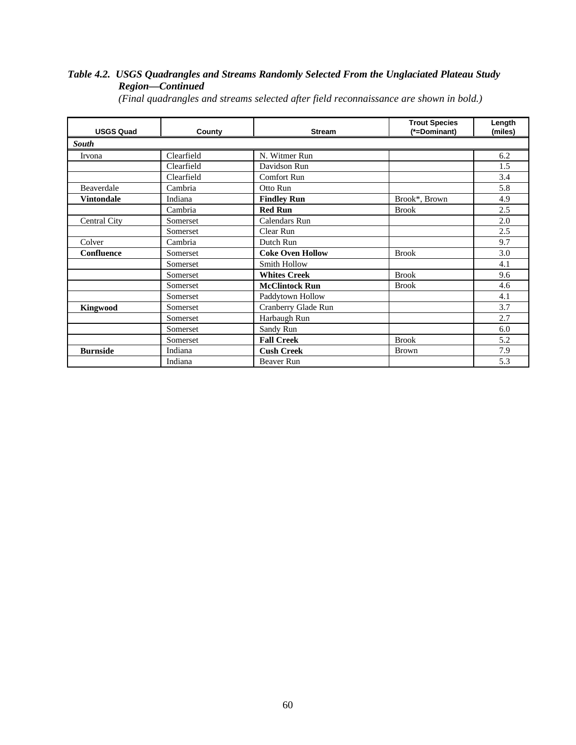# *Table 4.2. USGS Quadrangles and Streams Randomly Selected From the Unglaciated Plateau Study Region—Continued*

| <b>USGS Quad</b>  | County     | <b>Stream</b>           | <b>Trout Species</b><br>(*=Dominant) | Length<br>(miles) |
|-------------------|------------|-------------------------|--------------------------------------|-------------------|
| <b>South</b>      |            |                         |                                      |                   |
| Irvona            | Clearfield | N. Witmer Run           |                                      | 6.2               |
|                   | Clearfield | Davidson Run            |                                      | 1.5               |
|                   | Clearfield | <b>Comfort Run</b>      |                                      | 3.4               |
| Beaverdale        | Cambria    | Otto Run                |                                      | 5.8               |
| <b>Vintondale</b> | Indiana    | <b>Findley Run</b>      | Brook*, Brown                        | 4.9               |
|                   | Cambria    | <b>Red Run</b>          | <b>Brook</b>                         | 2.5               |
| Central City      | Somerset   | Calendars Run           |                                      | 2.0               |
|                   | Somerset   | Clear Run               |                                      | 2.5               |
| Colver            | Cambria    | Dutch Run               |                                      | 9.7               |
| <b>Confluence</b> | Somerset   | <b>Coke Oven Hollow</b> | <b>Brook</b>                         | 3.0               |
|                   | Somerset   | <b>Smith Hollow</b>     |                                      | 4.1               |
|                   | Somerset   | <b>Whites Creek</b>     | <b>Brook</b>                         | 9.6               |
|                   | Somerset   | <b>McClintock Run</b>   | <b>Brook</b>                         | 4.6               |
|                   | Somerset   | Paddytown Hollow        |                                      | 4.1               |
| Kingwood          | Somerset   | Cranberry Glade Run     |                                      | 3.7               |
|                   | Somerset   | Harbaugh Run            |                                      | 2.7               |
|                   | Somerset   | Sandy Run               |                                      | 6.0               |
|                   | Somerset   | <b>Fall Creek</b>       | <b>Brook</b>                         | 5.2               |
| <b>Burnside</b>   | Indiana    | <b>Cush Creek</b>       | <b>Brown</b>                         | 7.9               |
|                   | Indiana    | Beaver Run              |                                      | 5.3               |

*(Final quadrangles and streams selected after field reconnaissance are shown in bold.)*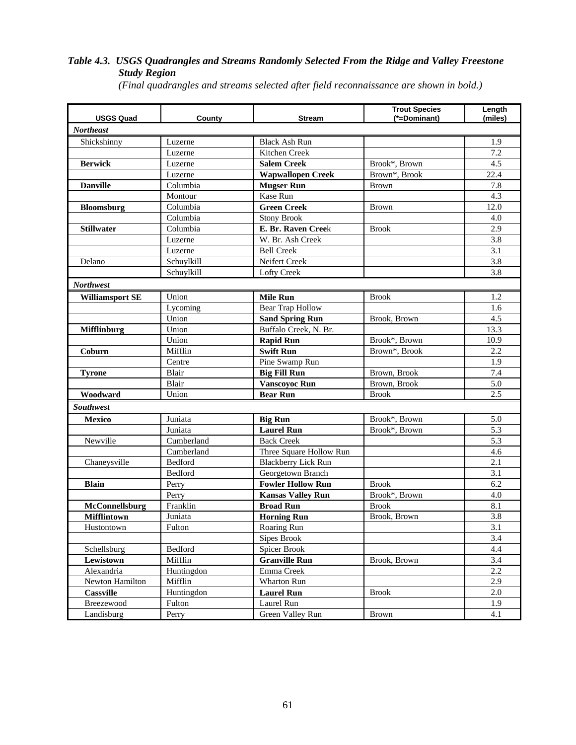## *Table 4.3. USGS Quadrangles and Streams Randomly Selected From the Ridge and Valley Freestone Study Region*

*(Final quadrangles and streams selected after field reconnaissance are shown in bold.)*

| <b>USGS Quad</b>       | County     | <b>Stream</b>              | <b>Trout Species</b><br>(*=Dominant) | Length<br>(miles) |
|------------------------|------------|----------------------------|--------------------------------------|-------------------|
| <b>Northeast</b>       |            |                            |                                      |                   |
| Shickshinny            | Luzerne    | <b>Black Ash Run</b>       |                                      | 1.9               |
|                        | Luzerne    | Kitchen Creek              |                                      | 7.2               |
| <b>Berwick</b>         | Luzerne    | <b>Salem Creek</b>         | Brook*, Brown                        | 4.5               |
|                        | Luzerne    | <b>Wapwallopen Creek</b>   | Brown*, Brook                        | 22.4              |
| <b>Danville</b>        | Columbia   | <b>Mugser Run</b>          | <b>Brown</b>                         | 7.8               |
|                        | Montour    | Kase Run                   |                                      | 4.3               |
| Bloomsburg             | Columbia   | <b>Green Creek</b>         | <b>Brown</b>                         | 12.0              |
|                        | Columbia   | <b>Stony Brook</b>         |                                      | 4.0               |
| <b>Stillwater</b>      | Columbia   | E. Br. Raven Creek         | <b>Brook</b>                         | 2.9               |
|                        | Luzerne    | W. Br. Ash Creek           |                                      | 3.8               |
|                        | Luzerne    | <b>Bell Creek</b>          |                                      | 3.1               |
| Delano                 | Schuylkill | Neifert Creek              |                                      | 3.8               |
|                        | Schuylkill | Lofty Creek                |                                      | 3.8               |
| <b>Northwest</b>       |            |                            |                                      |                   |
| <b>Williamsport SE</b> | Union      | <b>Mile Run</b>            | <b>Brook</b>                         | 1.2               |
|                        | Lycoming   | <b>Bear Trap Hollow</b>    |                                      | 1.6               |
|                        | Union      | <b>Sand Spring Run</b>     | Brook, Brown                         | 4.5               |
| <b>Mifflinburg</b>     | Union      | Buffalo Creek, N. Br.      |                                      | 13.3              |
|                        | Union      | <b>Rapid Run</b>           | Brook*, Brown                        | 10.9              |
| Coburn                 | Mifflin    | <b>Swift Run</b>           | Brown*, Brook                        | 2.2               |
|                        | Centre     | Pine Swamp Run             |                                      | 1.9               |
| <b>Tyrone</b>          | Blair      | <b>Big Fill Run</b>        | Brown, Brook                         | 7.4               |
|                        | Blair      | <b>Vanscoyoc Run</b>       | Brown, Brook                         | 5.0               |
| Woodward               | Union      | <b>Bear Run</b>            | <b>Brook</b>                         | 2.5               |
| <b>Southwest</b>       |            |                            |                                      |                   |
| Mexico                 | Juniata    | <b>Big Run</b>             | Brook*, Brown                        | 5.0               |
|                        | Juniata    | <b>Laurel Run</b>          | Brook*, Brown                        | 5.3               |
| Newville               | Cumberland | <b>Back Creek</b>          |                                      | 5.3               |
|                        | Cumberland | Three Square Hollow Run    |                                      | 4.6               |
| Chaneysville           | Bedford    | <b>Blackberry Lick Run</b> |                                      | 2.1               |
|                        | Bedford    | Georgetown Branch          |                                      | 3.1               |
| <b>Blain</b>           | Perry      | <b>Fowler Hollow Run</b>   | <b>Brook</b>                         | 6.2               |
|                        | Perry      | <b>Kansas Valley Run</b>   | Brook*, Brown                        | 4.0               |
| McConnellsburg         | Franklin   | <b>Broad Run</b>           | <b>Brook</b>                         | 8.1               |
| <b>Mifflintown</b>     | Juniata    | <b>Horning Run</b>         | Brook, Brown                         | 3.8               |
| Hustontown             | Fulton     | Roaring Run                |                                      | 3.1               |
|                        |            | <b>Sipes Brook</b>         |                                      | 3.4               |
| Schellsburg            | Bedford    | <b>Spicer Brook</b>        |                                      | 4.4               |
| Lewistown              | Mifflin    | <b>Granville Run</b>       | Brook, Brown                         | 3.4               |
| Alexandria             | Huntingdon | Emma Creek                 |                                      | 2.2               |
| Newton Hamilton        | Mifflin    | Wharton Run                |                                      | 2.9               |
| <b>Cassville</b>       | Huntingdon | <b>Laurel Run</b>          | <b>Brook</b>                         | 2.0               |
| Breezewood             | Fulton     | Laurel Run                 |                                      | 1.9               |
| Landisburg             | Perry      | Green Valley Run           | <b>Brown</b>                         | 4.1               |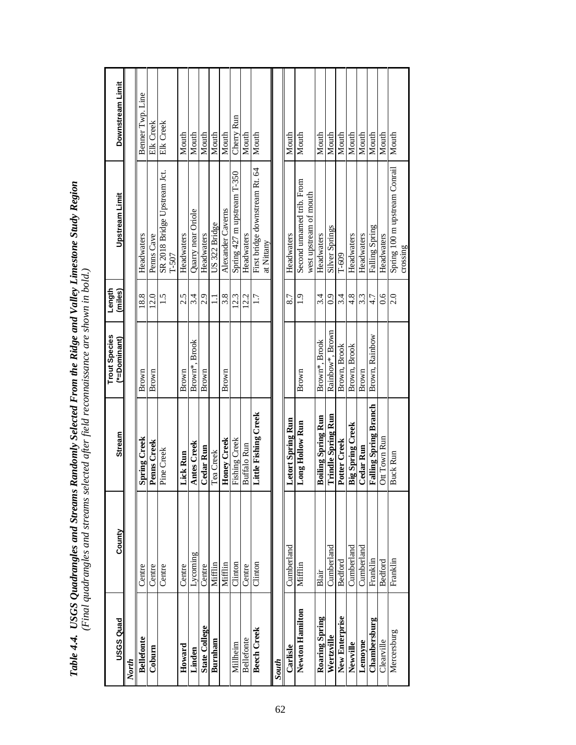| USGS Quad            | County     | <b>Stream</b>                | <b>Trout Species</b><br>(*=Dominant) | Length<br>(miles) | Upstream Limit                                      | Downstream Limit |
|----------------------|------------|------------------------------|--------------------------------------|-------------------|-----------------------------------------------------|------------------|
| North                |            |                              |                                      |                   |                                                     |                  |
| <b>Bellefonte</b>    | Centre     | <b>Spring Creek</b>          | Brown                                | 18.8              | Headwaters                                          | Benner Twp. Line |
| Coburn               | Centre     | Penns Creek                  | Brown                                | 12.0              | Penns Cave                                          | Elk Creek        |
|                      | Centre     | Pine Creek                   |                                      | 1.5               | SR 2018 Bridge Upstream Jct.<br>$T - 507$           | Elk Creek        |
| Howard               | Centre     | Lick Run                     | Brown                                | 2.5               | Headwaters                                          | Mouth            |
| Linden               | Sutunook   | <b>Antes Creek</b>           | Brown*, Brook                        | 3.4               | Quarry near Oriole                                  | Mouth            |
| <b>State College</b> | Centre     | Cedar Run                    | Brown                                | 2.9               | Headwaters                                          | Mouth            |
| Burnham              | Mifflin    | Tea Creek                    |                                      | $\Xi$             | US 322 Bridge                                       | Mouth            |
|                      | Mifflin    | Honey Creek                  | Brown                                | 3.8               | Alexander Caverns                                   | Mouth            |
| Millheim             | Clinton    | Fishing Creek                |                                      | 12.3              | Spring 427 m upstream T-350                         | Cherry Run       |
| <b>Bellefonte</b>    | Centre     | <b>Buffalo Run</b>           |                                      | 12.2              | Headwaters                                          | Mouth            |
| <b>Beech Creek</b>   | Clinton    | Little Fishing Creek         |                                      | 1.7               | First bridge downstream Rt. 64<br>at Nittany        | Mouth            |
| South                |            |                              |                                      |                   |                                                     |                  |
| Carlisle             | Cumberland | Letort Spring Run            |                                      | 8.7               | Headwaters                                          | Mouth            |
| Newton Hamilton      | Mifflin    | Long Hollow Run              | Brown                                | $\frac{9}{1}$     | Second unnamed trib. From<br>west upstream of mouth | Mouth            |
| Roaring Spring       | Blair      | <b>Boiling Spring Run</b>    | Brown*, Brook                        | 3.4               | Headwaters                                          | Mouth            |
| Wertzville           | Cumberland | <b>Trindle Spring Run</b>    | Rainbow*, Brown                      | $\overline{0}$    | <b>Silver Springs</b>                               | Mouth            |
| New Enterprise       | Bedford    | Potter Creek                 | Brown, Brook                         | 3.4               | $T-609$                                             | Mouth            |
| Newville             | Cumberland | <b>Big Spring Creek</b>      | Brown, Brook                         | 4.8               | Headwaters                                          | Mouth            |
| Lemoyne              | Cumberland | Cedar Run                    | Brown                                | 3.3               | Headwaters                                          | Mouth            |
| Chambersburg         | Franklin   | <b>Falling Spring Branch</b> | Brown, Rainbow                       | 4.7               | Falling Spring                                      | Mouth            |
| Clearville           | Bedford    | Ott Town Run                 |                                      | $\frac{6}{3}$     | Headwaters                                          | Mouth            |
| Mercersburg          | Franklin   | Buck Run                     |                                      | 2.0               | Spring 100 m upstream Conrail<br>crossing           | Mouth            |

Table 4.4. USGS Quadrangles and Streams Randomly Selected From the Ridge and Valley Limestone Study Region<br>(Final quadrangles and streams selected after field reconnaissance are shown in bold.) *Table 4.4. USGS Quadrangles and Streams Randomly Selected From the Ridge and Valley Limestone Study Region (Final quadrangles and streams selected after field reconnaissance are shown in bold.)*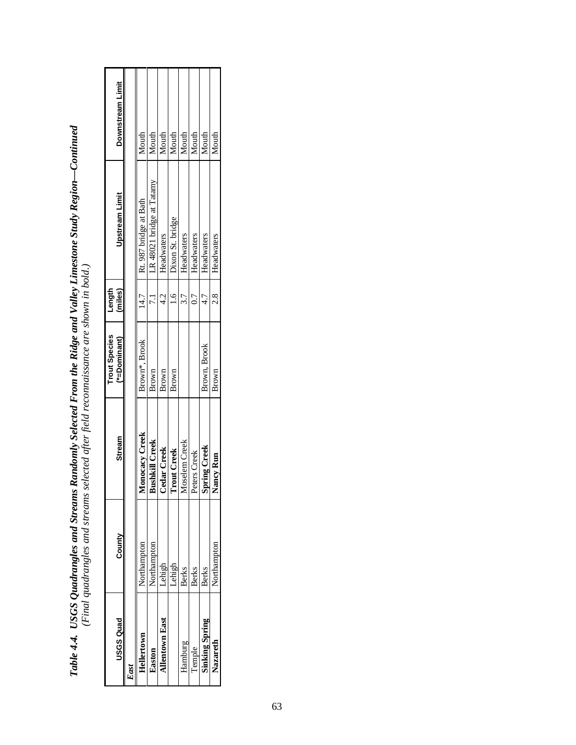| <b>USGS Quad</b>      | County      | <b>Stream</b>         | <b>Trout Species</b><br>$(*=Domain)$ | Length<br>(miles) | <b>Upstream Limit</b>     | Downstream Limit |
|-----------------------|-------------|-----------------------|--------------------------------------|-------------------|---------------------------|------------------|
| East                  |             |                       |                                      |                   |                           |                  |
| Hellertown            | Northampton | <b>Monocacy Creek</b> | Brown*, Brook                        | 14.7              | Rt. 987 bridge at Bath    | Mouth            |
| Easton                | Northamptor | <b>Bushkill Creek</b> | Brown                                |                   | LR 48021 bridge at Tatamy | Mouth            |
| <b>Allentown East</b> | Lehigh      | Cedar Creek           | Brown                                | $\frac{1}{4}$     | Headwaters                | Mouth            |
|                       | Lehigh      | <b>Trout Creek</b>    | Brown                                | $\frac{6}{1}$     | Dixon St. bridge          | Mouth            |
| Hamburg               | Berks       | Moselem Creek         |                                      | 3.7               | Headwaters                | Mouth            |
| Temple                | Berks       | Peters Creek          |                                      | $\tilde{L}$       | Headwaters                | Mouth            |
| <b>Sinking Spring</b> | Berks       | <b>Spring Creek</b>   | Brown, Brook                         |                   | Headwaters                | Mouth            |
| Nazareth              | Northampton | Nancy Kun             | Brown                                | $\frac{8}{2}$     | Headwaters                | Mouth            |
|                       |             |                       |                                      |                   |                           |                  |

| $\sim$ $\sim$ $\sim$<br>コード・ドー<br>Ĕ<br>֓                                                                                                                                                              |                                           |
|-------------------------------------------------------------------------------------------------------------------------------------------------------------------------------------------------------|-------------------------------------------|
|                                                                                                                                                                                                       |                                           |
| Jallow I iv<br>and Valley<br>in a Pidoo and<br>Tom the true<br>$T$ out $O$ of $H$<br>ļ<br>i<br>c<br>Ì<br>$\frac{1}{2}$<br>ſ<br>in anno<br>outs pub<br>I<br>$\frac{1}{2}$<br>$\zeta$<br>こうひ こう<br>くくしょ | 化亚氨酸 医单位<br>こうだい<br>م<br>.<br>៓<br>ļ<br>i |
| uvie 7.7.                                                                                                                                                                                             |                                           |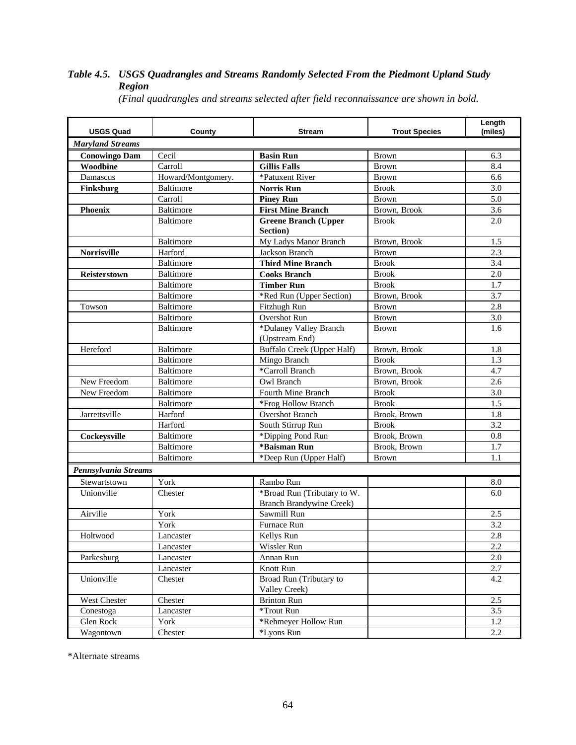# *Table 4.5. USGS Quadrangles and Streams Randomly Selected From the Piedmont Upland Study Region*

| <b>USGS Quad</b>        | County             | <b>Stream</b>                   | <b>Trout Species</b> | Length<br>(miles) |
|-------------------------|--------------------|---------------------------------|----------------------|-------------------|
| <b>Maryland Streams</b> |                    |                                 |                      |                   |
| <b>Conowingo Dam</b>    | Cecil              | <b>Basin Run</b>                | <b>Brown</b>         | 6.3               |
| <b>Woodbine</b>         | Carroll            | <b>Gillis Falls</b>             | <b>Brown</b>         | 8.4               |
| Damascus                | Howard/Montgomery. | *Patuxent River                 | <b>Brown</b>         | 6.6               |
| Finksburg               | <b>Baltimore</b>   | <b>Norris Run</b>               | <b>Brook</b>         | 3.0               |
|                         | Carroll            | <b>Piney Run</b>                | <b>Brown</b>         | 5.0               |
| <b>Phoenix</b>          | Baltimore          | <b>First Mine Branch</b>        | Brown, Brook         | 3.6               |
|                         | <b>Baltimore</b>   | <b>Greene Branch (Upper</b>     | <b>Brook</b>         | 2.0               |
|                         |                    | Section)                        |                      |                   |
|                         | Baltimore          | My Ladys Manor Branch           | Brown, Brook         | 1.5               |
| <b>Norrisville</b>      | Harford            | Jackson Branch                  | <b>Brown</b>         | 2.3               |
|                         | Baltimore          | <b>Third Mine Branch</b>        | <b>Brook</b>         | 3.4               |
| Reisterstown            | Baltimore          | <b>Cooks Branch</b>             | <b>Brook</b>         | 2.0               |
|                         | Baltimore          | <b>Timber Run</b>               | <b>Brook</b>         | 1.7               |
|                         | Baltimore          | *Red Run (Upper Section)        | Brown, Brook         | 3.7               |
| Towson                  | <b>Baltimore</b>   | Fitzhugh Run                    | <b>Brown</b>         | 2.8               |
|                         | Baltimore          | Overshot Run                    | <b>Brown</b>         | 3.0               |
|                         | Baltimore          | *Dulaney Valley Branch          | <b>Brown</b>         | 1.6               |
|                         |                    | (Upstream End)                  |                      |                   |
| Hereford                | <b>Baltimore</b>   | Buffalo Creek (Upper Half)      | Brown, Brook         | 1.8               |
|                         | Baltimore          | Mingo Branch                    | <b>Brook</b>         | 1.3               |
|                         | Baltimore          | *Carroll Branch                 | Brown, Brook         | 4.7               |
| New Freedom             | Baltimore          | Owl Branch                      | Brown, Brook         | 2.6               |
| New Freedom             | Baltimore          | Fourth Mine Branch              | <b>Brook</b>         | 3.0               |
|                         | Baltimore          | *Frog Hollow Branch             | <b>Brook</b>         | 1.5               |
| Jarrettsville           | Harford            | <b>Overshot Branch</b>          | Brook, Brown         | 1.8               |
|                         | Harford            | South Stirrup Run               | <b>Brook</b>         | 3.2               |
| Cockeysville            | Baltimore          | *Dipping Pond Run               | Brook, Brown         | 0.8               |
|                         | Baltimore          | *Baisman Run                    | Brook, Brown         | 1.7               |
|                         | Baltimore          | *Deep Run (Upper Half)          | <b>Brown</b>         | 1.1               |
| Pennsylvania Streams    |                    |                                 |                      |                   |
| Stewartstown            | York               | Rambo Run                       |                      | 8.0               |
| Unionville              | Chester            | *Broad Run (Tributary to W.     |                      | 6.0               |
|                         |                    | <b>Branch Brandywine Creek)</b> |                      |                   |
| Airville                | York               | Sawmill Run                     |                      | 2.5               |
|                         | York               | Furnace Run                     |                      | 3.2               |
| Holtwood                | Lancaster          | Kellys Run                      |                      | 2.8               |
|                         | Lancaster          | Wissler Run                     |                      | 2.2               |
| Parkesburg              | Lancaster          | Annan Run                       |                      | 2.0               |
|                         | Lancaster          | Knott Run                       |                      | 2.7               |
| Unionville              | Chester            | Broad Run (Tributary to         |                      | 4.2               |
|                         |                    | Valley Creek)                   |                      |                   |
| West Chester            | Chester            | <b>Brinton Run</b>              |                      | 2.5               |
| Conestoga               | Lancaster          | *Trout Run                      |                      | 3.5               |
| Glen Rock               | York               | *Rehmeyer Hollow Run            |                      | 1.2               |
| Wagontown               | Chester            | *Lyons Run                      |                      | 2.2               |

*(Final quadrangles and streams selected after field reconnaissance are shown in bold.*

\*Alternate streams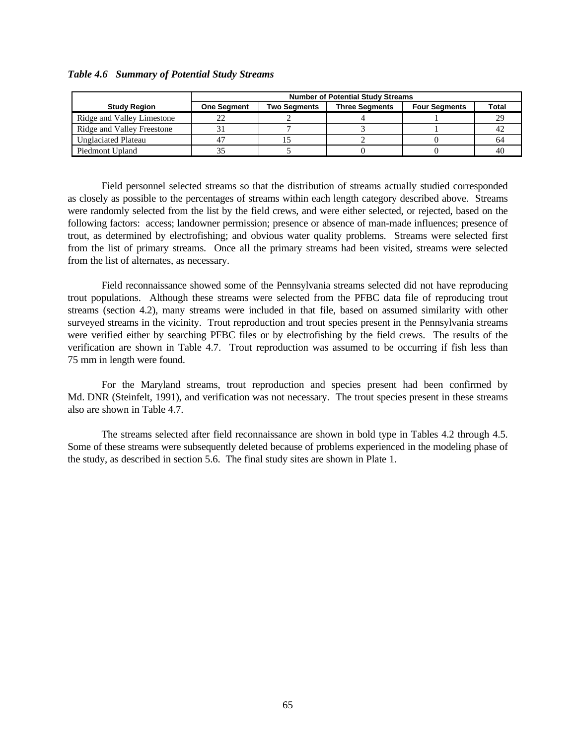|                            |                    |              | <b>Number of Potential Study Streams</b> |                      |       |
|----------------------------|--------------------|--------------|------------------------------------------|----------------------|-------|
| <b>Study Region</b>        | <b>One Segment</b> | Two Seaments | <b>Three Seaments</b>                    | <b>Four Segments</b> | Total |
| Ridge and Valley Limestone |                    |              |                                          |                      | 29    |
| Ridge and Valley Freestone |                    |              |                                          |                      | 42    |
| <b>Unglaciated Plateau</b> |                    |              |                                          |                      | 64    |
| Piedmont Upland            |                    |              |                                          |                      |       |

#### *Table 4.6 Summary of Potential Study Streams*

Field personnel selected streams so that the distribution of streams actually studied corresponded as closely as possible to the percentages of streams within each length category described above. Streams were randomly selected from the list by the field crews, and were either selected, or rejected, based on the following factors: access; landowner permission; presence or absence of man-made influences; presence of trout, as determined by electrofishing; and obvious water quality problems.Streams were selected first from the list of primary streams. Once all the primary streams had been visited, streams were selected from the list of alternates, as necessary.

Field reconnaissance showed some of the Pennsylvania streams selected did not have reproducing trout populations. Although these streams were selected from the PFBC data file of reproducing trout streams (section 4.2), many streams were included in that file, based on assumed similarity with other surveyed streams in the vicinity. Trout reproduction and trout species present in the Pennsylvania streams were verified either by searching PFBC files or by electrofishing by the field crews. The results of the verification are shown in Table 4.7. Trout reproduction was assumed to be occurring if fish less than 75 mm in length were found.

For the Maryland streams, trout reproduction and species present had been confirmed by Md. DNR (Steinfelt, 1991), and verification was not necessary. The trout species present in these streams also are shown in Table 4.7.

The streams selected after field reconnaissance are shown in bold type in Tables 4.2 through 4.5. Some of these streams were subsequently deleted because of problems experienced in the modeling phase of the study, as described in section 5.6. The final study sites are shown in Plate 1.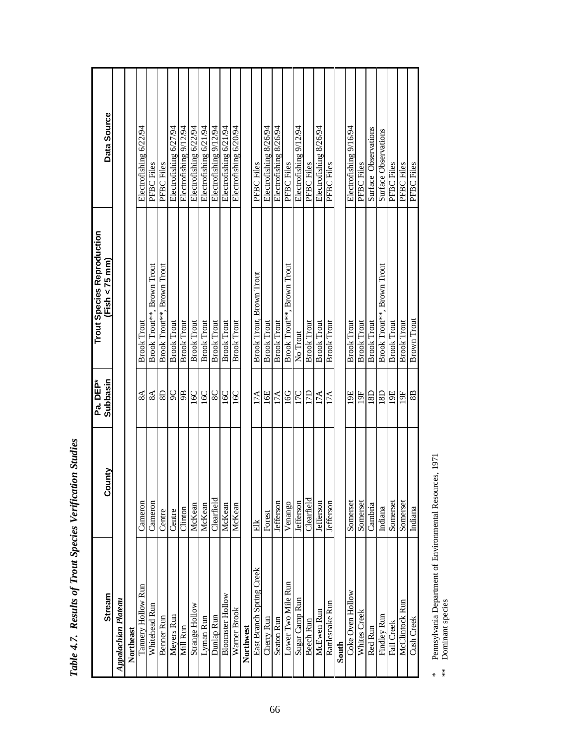| <b>Stream</b>              | County           | Pa. DEP*<br>Subbasin | <b>Trout Species Reproduction</b><br>Fish $<$ 75 mm) | Data Source            |
|----------------------------|------------------|----------------------|------------------------------------------------------|------------------------|
| <b>Appalachian Plateau</b> |                  |                      |                                                      |                        |
| Northeast                  |                  |                      |                                                      |                        |
| Tannery Hollow Run         | Cameron          | $8\AA$               | <b>Brook Trout</b>                                   | Electrofishing 6/22/94 |
| Whitehead Run              | Cameron          | $8\AA$               | Brook Trout**, Brown Trout                           | PFBC Files             |
| Benner Run                 | Centre           | $\overline{8}$       | Brook Trout**, Brown Trout                           | PFBC Files             |
| Meyers Run                 | Centre           | $\frac{9}{9}$        | <b>Brook Trout</b>                                   | Electrofishing 6/27/94 |
| Mill Run                   | Clinton          |                      | <b>Brook Trout</b>                                   | Electrofishing 9/12/94 |
| Strange Hollow             | McKean           | 16C                  | <b>Brook Trout</b>                                   | Electrofishing 6/22/94 |
| Lyman Run                  | McKean           | 16C                  | <b>Brook Trout</b>                                   | Electrofishing 6/21/94 |
| Dunlap Run                 | Clearfield       | $\rm 98$             | <b>Brook Trout</b>                                   | Electrofishing 9/12/94 |
| <b>Bloomster Hollow</b>    | McKean           | 16C                  | <b>Brook Trout</b>                                   | Electrofishing 6/21/94 |
| Warner Brook               | McKean           | 16C                  | <b>Brook Trout</b>                                   | Electrofishing 6/20/94 |
| Northwest                  |                  |                      |                                                      |                        |
| East Branch Spring Creek   | Elk              | 17A                  | Brook Trout, Brown Trout                             | PFBC Files             |
| Cherry Run                 | Forest           | 16E                  | <b>Brook Trout</b>                                   | Electrofishing 8/26/94 |
| Seaton Run                 | <b>Jefferson</b> | 17A                  | <b>Brook Trout</b>                                   | Electrofishing 8/26/94 |
| Lower Two Mile Run         | Venango          | 16G                  | Brook Trout**, Brown Trout                           | PFBC Files             |
| Sugar Camp Run             | <b>Jefferson</b> | 17C                  | No Trout                                             | Electrofishing 9/12/94 |
| Beech Run                  | Clearfield       | 17D                  | <b>Brook Trout</b>                                   | PFBC Files             |
| McEwen Run                 | Jefferson        | 17A                  | <b>Brook Trout</b>                                   | Electrofishing 8/26/94 |
| Rattlesnake Run            | Jefferson        | 17A                  | <b>Brook Trout</b>                                   | PFBC Files             |
| South                      |                  |                      |                                                      |                        |
| Coke Oven Hollow           | Somerset         | 19E                  | <b>Brook Trout</b>                                   | Electrofishing 9/16/94 |
| Whites Creek               | Somerset         | 19F                  | <b>Brook Trout</b>                                   | PFBC Files             |
| Red Run                    | Cambria          | 18D                  | <b>Brook Trout</b>                                   | Surface Observations   |
| Findley Run                | Indiana          | 18D                  | Brook Trout**, Brown Trout                           | Surface Observations   |
| Fall Creek                 | Somerset         | 19E                  | <b>Brook Trout</b>                                   | PFBC Files             |
| McClintock Run             | Somerset         | 19F                  | <b>Brook Trout</b>                                   | PFBC Files             |
| Cush Creek                 | Indiana          | 8B                   | Brown Trout                                          | PFBC Files             |

Table 4.7. Results of Trout Species Verification Studies *Table 4.7. Results of Trout Species Verification Studies*

\* Pennsylvania Department of Environmental Resources, 1971<br>\*\* Dominant species \* Pennsylvania Department of Environmental Resources, 1971

\*\* Dominant species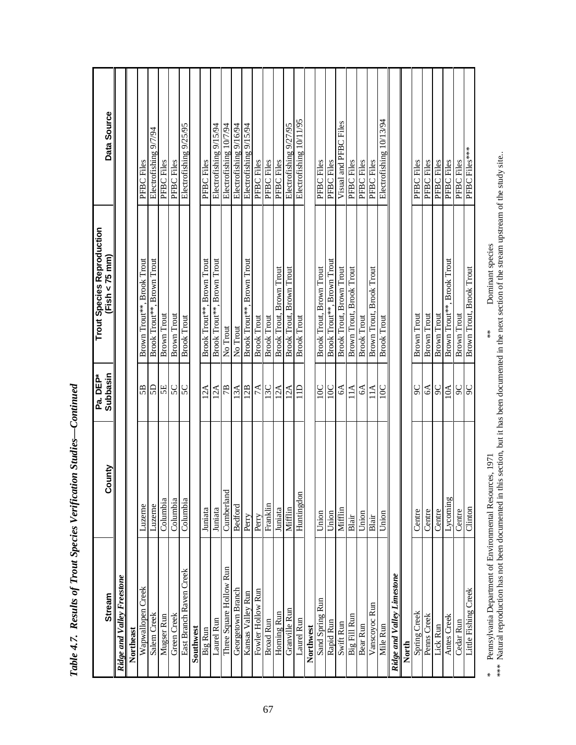|                                   |                  | Pa. DEP*<br>Subbasin | <b>Trout Species Reproduction</b>    |                         |
|-----------------------------------|------------------|----------------------|--------------------------------------|-------------------------|
| <b>Stream</b>                     | <b>Aunc</b><br>ပ |                      | $Fish < 75$ mm)                      | Data Source             |
| <b>Ridge and Valley Freestone</b> |                  |                      |                                      |                         |
| Northeast                         |                  |                      |                                      |                         |
| Wapwallopen Creek                 | Luzerne          | 5B                   | Brown Trout**, Brook Trout           | PFBC Files              |
| Salem Creek                       | Luzerne          | 5D                   | Brook Trout**, Brown Trout           | Electrofishing 9/7/94   |
| Mugser Run                        | Columbia         | 5E                   | <b>Brown Trout</b>                   | PFBC Files              |
| Green Creek                       | Columbia         | 5C                   | <b>Brown Trout</b>                   | PFBC Files              |
| East Branch Raven Creek           | Columbia         | 50                   | <b>Brook Trout</b>                   | Electrofishing 9/25/95  |
| Southwest                         |                  |                      |                                      |                         |
| Big Run                           | Juniata          | 12A                  | Brook Trout**, Brown Trout           | PFBC Files              |
| Laurel Run                        | Juniata          | 12A                  | Brook Trout**, Brown Trout           | Electrofishing 9/15/94  |
| Three Square Hollow Run           | Cumberland       | 7B                   | No Trout                             | Electrofishing 10/7/94  |
| Georgetown Branch                 | <b>Bedford</b>   | 13A                  | No Trout                             | Electrofishing 9/16/94  |
| Kansas Valley Run                 | Perry            | 12B                  | Brook Trout**, Brown Trout           | Electrofishing 9/15/94  |
| Fowler Hollow Run                 | Perry            | 7A                   | <b>Brook Trout</b>                   | PFBC Files              |
| <b>Broad Run</b>                  | Franklin         | 13C                  | <b>Brook Trout</b>                   | PFBC Files              |
| Horning Run                       | Juniata          | 12A                  | Brook Trout, Brown Trout             | PFBC Files              |
| Granville Run                     | Mifflin          | 12A                  | Brook Trout, Brown Trout             | Electrofishing 9/27/95  |
| Laurel Run                        | Huntingdon       | $\Xi$                | <b>Brook Trout</b>                   | Electrofishing 10/11/95 |
| Northwest                         |                  |                      |                                      |                         |
| Sand Spring Run                   | Union            | 10C                  | Brook Trout, Brown Trout             | PFBC Files              |
| Rapid Run                         | Union            | 10C                  | Brook Trout**, Brown Trout           | PFBC Files              |
| Swift Run                         | Mifflin          | $\delta$             | Brook Trout, Brown Trout             | Visual and PFBC Files   |
| Big Fill Run                      | Blair            | 11A                  | Brown Trout, Brook Trout             | PFBC Files              |
| Bear Run                          | Union            | S                    | <b>Brook Trout</b>                   | PFBC Files              |
| Vanscoyoc Run                     | Blair            | 11A                  | Brown Trout, Brook Trout             | PFBC Files              |
| Mile Run                          | Union            | 10C                  | <b>Brook Trout</b>                   | Electrofishing 10/13/94 |
| <b>Ridge and Valley Limestone</b> |                  |                      |                                      |                         |
| North                             |                  |                      |                                      |                         |
| Spring Creek                      | Centre           | 90                   | Brown Trout                          | PFBC Files              |
| Penns Creek                       | Centre           | \$8                  | Brown Trout                          | PFBC Files              |
| Lick Run                          | Centre           |                      | <b>Brown Trout</b>                   | PFBC Files              |
| Antes Creek                       | Lycoming         | 10A                  | <b>Brook Trout</b><br>Brown Trout**, | PFBC Files              |
| Cedar Run                         | Centre           | $rac{6}{9}$          | <b>Brown Trout</b>                   | PFBC Files              |
| Little Fishing Creek              | Clinton          |                      | Brown Trout, Brook Trout             | PFBC Files***           |

Table 4.7. Results of Trout Species Verification Studies-Continued *Table 4.7. Results of Trout Species Verification Studies—Continued*

\* Pennsylvania Department of Environmental Resources, 1971 \*\* \*\* Dominant species

\* Pennsylvania Department of Environmental Resources, 1971<br>\*\*\* Natural reproduction has not been documented in this section, but it has been documented in the next section of the stream upstream of the study site.. \*\*\* Natural reproduction has not been documented in this section, but it has been documented in the next section of the stream upstream of the study site..